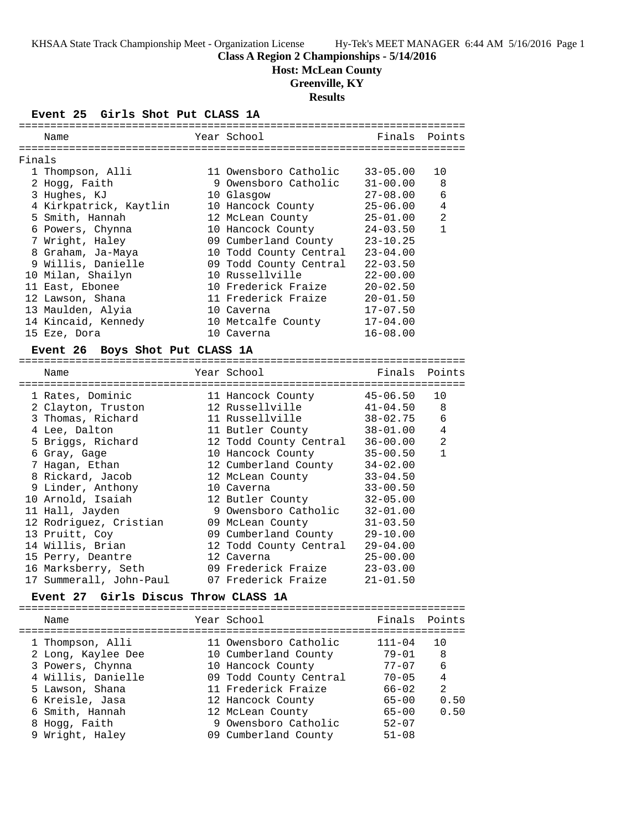### **Class A Region 2 Championships - 5/14/2016**

**Host: McLean County**

#### **Greenville, KY**

**Results**

#### **Event 25 Girls Shot Put CLASS 1A**

|        | Name                   | Year School            | Finals       | Points         |
|--------|------------------------|------------------------|--------------|----------------|
|        |                        |                        |              |                |
| Finals |                        |                        |              |                |
|        | 1 Thompson, Alli       | 11 Owensboro Catholic  | $33 - 05.00$ | 10             |
|        | 2 Hogg, Faith          | 9 Owensboro Catholic   | $31 - 00.00$ | 8              |
|        | 3 Hughes, KJ           | 10 Glasgow             | $27 - 08.00$ | 6              |
|        | 4 Kirkpatrick, Kaytlin | 10 Hancock County      | $25 - 06.00$ | 4              |
|        | 5 Smith, Hannah        | 12 McLean County       | $25 - 01.00$ | $\mathfrak{D}$ |
|        | 6 Powers, Chynna       | 10 Hancock County      | $24 - 03.50$ | 1              |
|        | 7 Wright, Haley        | 09 Cumberland County   | $23 - 10.25$ |                |
|        | 8 Graham, Ja-Maya      | 10 Todd County Central | $23 - 04.00$ |                |
|        | 9 Willis, Danielle     | 09 Todd County Central | $22 - 03.50$ |                |
|        | 10 Milan, Shailyn      | 10 Russellville        | $22 - 00.00$ |                |
|        | 11 East, Ebonee        | 10 Frederick Fraize    | $20 - 02.50$ |                |
|        | 12 Lawson, Shana       | 11 Frederick Fraize    | $20 - 01.50$ |                |
|        | 13 Maulden, Alyia      | 10 Caverna             | $17 - 07.50$ |                |
|        | 14 Kincaid, Kennedy    | 10 Metcalfe County     | $17 - 04.00$ |                |
|        | 15 Eze, Dora           | 10 Caverna             | $16 - 08.00$ |                |
|        |                        |                        |              |                |

#### **Event 26 Boys Shot Put CLASS 1A**

======================================================================= Name Year School Finals Points ======================================================================= 1 Rates, Dominic 11 Hancock County 45-06.50 10 2 Clayton, Truston 12 Russellville 41-04.50 8 3 Thomas, Richard 11 Russellville 38-02.75 6 4 Lee, Dalton 11 Butler County 38-01.00 4 5 Briggs, Richard 12 Todd County Central 36-00.00 2 6 Gray, Gage 10 Hancock County 35-00.50 1 7 Hagan, Ethan 12 Cumberland County 34-02.00 8 Rickard, Jacob 12 McLean County 33-04.50 9 Linder, Anthony 10 Caverna 33-00.50 10 Arnold, Isaiah 12 Butler County 32-05.00 11 Hall, Jayden 9 Owensboro Catholic 32-01.00 12 Rodriguez, Cristian 09 McLean County 31-03.50 13 Pruitt, Coy 09 Cumberland County 29-10.00 14 Willis, Brian 12 Todd County Central 29-04.00 15 Perry, Deantre 12 Caverna 25-00.00 16 Marksberry, Seth 09 Frederick Fraize 23-03.00 17 Summerall, John-Paul 07 Frederick Fraize 21-01.50

#### **Event 27 Girls Discus Throw CLASS 1A**

| Name               | Year School            | Finals Points |      |
|--------------------|------------------------|---------------|------|
| 1 Thompson, Alli   | 11 Owensboro Catholic  | $111 - 04$    | 1 N  |
| 2 Long, Kaylee Dee | 10 Cumberland County   | $79 - 01$     | 8    |
| 3 Powers, Chynna   | 10 Hancock County      | $77 - 07$     | 6    |
| 4 Willis, Danielle | 09 Todd County Central | $70 - 05$     | 4    |
| 5 Lawson, Shana    | 11 Frederick Fraize    | $66 - 02$     | 2    |
| 6 Kreisle, Jasa    | 12 Hancock County      | $65 - 00$     | 0.50 |
| 6 Smith, Hannah    | 12 McLean County       | $65 - 00$     | 0.50 |
| 8 Hogg, Faith      | 9 Owensboro Catholic   | $52 - 07$     |      |
| 9 Wright, Haley    | 09 Cumberland County   | $51 - 08$     |      |
|                    |                        |               |      |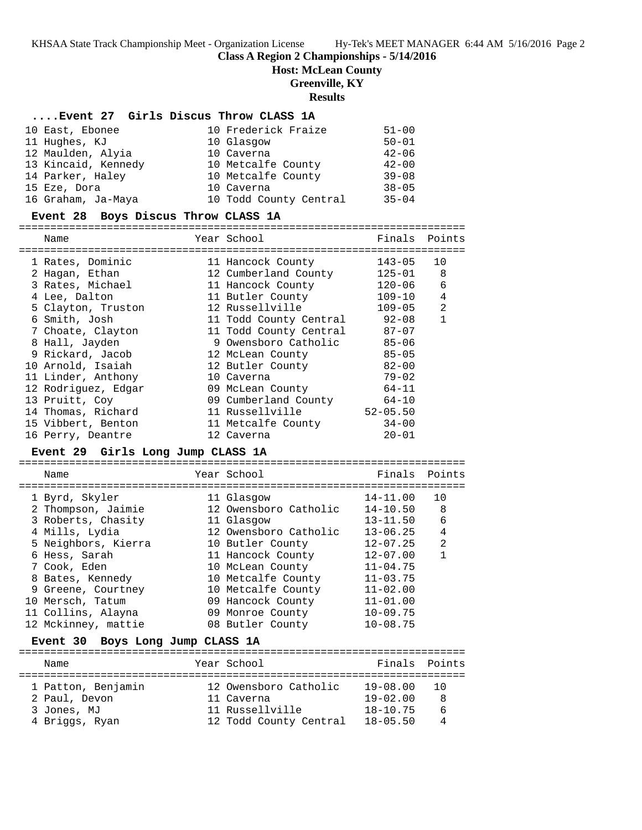**Class A Region 2 Championships - 5/14/2016**

**Host: McLean County**

**Greenville, KY**

**Results**

### **....Event 27 Girls Discus Throw CLASS 1A**

| 10 East, Ebonee     | 10 Frederick Fraize    | $51 - 00$ |
|---------------------|------------------------|-----------|
| 11 Hughes, KJ       | 10 Glasgow             | $50 - 01$ |
| 12 Maulden, Alyia   | 10 Caverna             | $42 - 06$ |
| 13 Kincaid, Kennedy | 10 Metcalfe County     | $42 - 00$ |
| 14 Parker, Haley    | 10 Metcalfe County     | $39 - 08$ |
| 15 Eze, Dora        | 10 Caverna             | $38 - 05$ |
| 16 Graham, Ja-Maya  | 10 Todd County Central | $35 - 04$ |

### **Event 28 Boys Discus Throw CLASS 1A**

| Name                | Year School            | Finals       | Points         |
|---------------------|------------------------|--------------|----------------|
| 1 Rates, Dominic    | 11 Hancock County      | $143 - 05$   | 10             |
| 2 Hagan, Ethan      | 12 Cumberland County   | $125 - 01$   | 8              |
| 3 Rates, Michael    | 11 Hancock County      | $120 - 06$   | 6              |
| 4 Lee, Dalton       | 11 Butler County       | $109 - 10$   | 4              |
| 5 Clayton, Truston  | 12 Russellville        | $109 - 05$   | $\mathfrak{D}$ |
| 6 Smith, Josh       | 11 Todd County Central | $92 - 08$    | 1              |
| 7 Choate, Clayton   | 11 Todd County Central | $87 - 07$    |                |
| 8 Hall, Jayden      | 9 Owensboro Catholic   | $85 - 06$    |                |
| 9 Rickard, Jacob    | 12 McLean County       | $85 - 05$    |                |
| 10 Arnold, Isaiah   | 12 Butler County       | $82 - 00$    |                |
| 11 Linder, Anthony  | 10 Caverna             | $79 - 02$    |                |
| 12 Rodriquez, Edgar | 09 McLean County       | $64 - 11$    |                |
| 13 Pruitt, Coy      | 09 Cumberland County   | $64 - 10$    |                |
| 14 Thomas, Richard  | 11 Russellville        | $52 - 05.50$ |                |
| 15 Vibbert, Benton  | 11 Metcalfe County     | $34 - 00$    |                |
| 16 Perry, Deantre   | 12 Caverna             | $20 - 01$    |                |

### **Event 29 Girls Long Jump CLASS 1A**

| Name                | Year School           | Finals Points |                |
|---------------------|-----------------------|---------------|----------------|
| 1 Byrd, Skyler      | 11 Glasgow            | $14 - 11.00$  | 10             |
| 2 Thompson, Jaimie  | 12 Owensboro Catholic | $14 - 10.50$  | - 8            |
| 3 Roberts, Chasity  | 11 Glasgow            | $13 - 11.50$  | 6              |
| 4 Mills, Lydia      | 12 Owensboro Catholic | $13 - 06.25$  | 4              |
| 5 Neighbors, Kierra | 10 Butler County      | $12 - 07.25$  | $\mathfrak{D}$ |
| 6 Hess, Sarah       | 11 Hancock County     | $12 - 07.00$  |                |
| 7 Cook, Eden        | 10 McLean County      | $11 - 04.75$  |                |
| 8 Bates, Kennedy    | 10 Metcalfe County    | $11 - 03.75$  |                |
| 9 Greene, Courtney  | 10 Metcalfe County    | $11 - 02.00$  |                |
| 10 Mersch, Tatum    | 09 Hancock County     | $11 - 01.00$  |                |
| 11 Collins, Alayna  | 09 Monroe County      | $10 - 09.75$  |                |
| 12 Mckinney, mattie | 08 Butler County      | $10 - 08.75$  |                |
|                     |                       |               |                |

### **Event 30 Boys Long Jump CLASS 1A**

| Name                                | Year School                         | Finals Points                   |          |
|-------------------------------------|-------------------------------------|---------------------------------|----------|
| 1 Patton, Benjamin<br>2 Paul, Devon | 12 Owensboro Catholic<br>11 Caverna | $19 - 08.00 10$<br>$19 - 02.00$ | 8        |
| 3 Jones, MJ                         | 11 Russellville                     | $18 - 10.75$                    | <u>б</u> |
| 4 Briggs, Ryan                      | 12 Todd County Central              | $18 - 05.50$                    | 4        |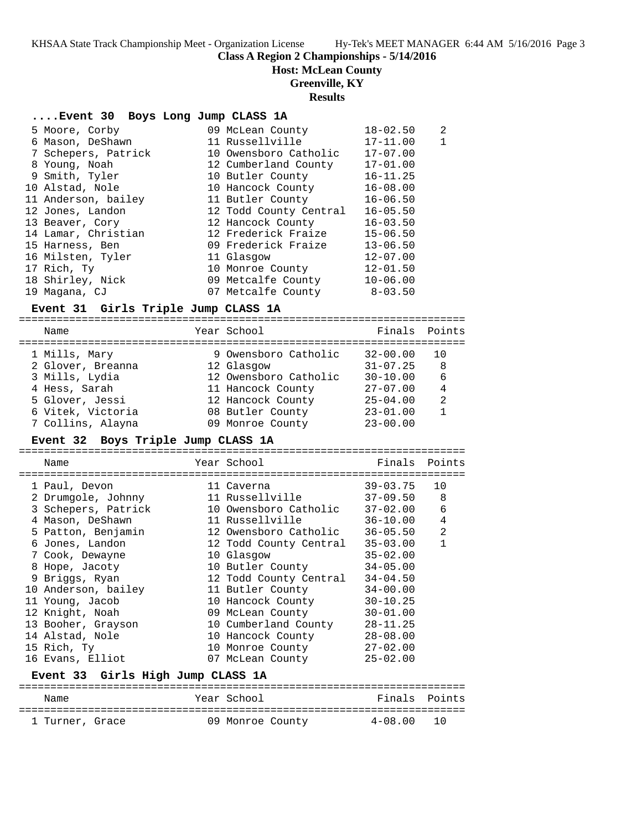# **Class A Region 2 Championships - 5/14/2016**

**Host: McLean County**

# **Greenville, KY**

**Results**

| Event 30 Boys Long Jump CLASS 1A |  |  |  |  |  |
|----------------------------------|--|--|--|--|--|
|----------------------------------|--|--|--|--|--|

| 5 Moore, Corby      | 09 McLean County       | $18 - 02.50$ | 2 |
|---------------------|------------------------|--------------|---|
| 6 Mason, DeShawn    | 11 Russellville        | $17 - 11.00$ |   |
| 7 Schepers, Patrick | 10 Owensboro Catholic  | $17 - 07.00$ |   |
| 8 Young, Noah       | 12 Cumberland County   | $17 - 01.00$ |   |
| 9 Smith, Tyler      | 10 Butler County       | $16 - 11.25$ |   |
| 10 Alstad, Nole     | 10 Hancock County      | $16 - 08.00$ |   |
| 11 Anderson, bailey | 11 Butler County       | $16 - 06.50$ |   |
| 12 Jones, Landon    | 12 Todd County Central | $16 - 05.50$ |   |
| 13 Beaver, Cory     | 12 Hancock County      | $16 - 03.50$ |   |
| 14 Lamar, Christian | 12 Frederick Fraize    | $15 - 06.50$ |   |
| 15 Harness, Ben     | 09 Frederick Fraize    | $13 - 06.50$ |   |
| 16 Milsten, Tyler   | 11 Glasgow             | $12 - 07.00$ |   |
| 17 Rich, Ty         | 10 Monroe County       | $12 - 01.50$ |   |
| 18 Shirley, Nick    | 09 Metcalfe County     | $10 - 06.00$ |   |
| 19 Magana, CJ       | 07 Metcalfe County     | $8 - 03.50$  |   |
|                     |                        |              |   |

### **Event 31 Girls Triple Jump CLASS 1A**

| Name              | Year School           | Finals Points |     |
|-------------------|-----------------------|---------------|-----|
| 1 Mills, Mary     | 9 Owensboro Catholic  | $32 - 00.00$  | 1 O |
| 2 Glover, Breanna | 12 Glasgow            | $31 - 07.25$  | 8   |
| 3 Mills, Lydia    | 12 Owensboro Catholic | $30 - 10.00$  | 6   |
| 4 Hess, Sarah     | 11 Hancock County     | $27 - 07.00$  | 4   |
| 5 Glover, Jessi   | 12 Hancock County     | $25 - 04.00$  | 2   |
| 6 Vitek, Victoria | 08 Butler County      | $23 - 01.00$  |     |
| 7 Collins, Alayna | 09 Monroe County      | $23 - 00.00$  |     |
|                   |                       |               |     |

### **Event 32 Boys Triple Jump CLASS 1A**

| Name                | Year School <b>Sand</b> | Finals       | Points         |
|---------------------|-------------------------|--------------|----------------|
|                     | ------------            |              |                |
| 1 Paul, Devon       | 11 Caverna              | 39-03.75     | 10             |
| 2 Drumqole, Johnny  | 11 Russellville         | $37 - 09.50$ | 8              |
| 3 Schepers, Patrick | 10 Owensboro Catholic   | $37 - 02.00$ | 6              |
| 4 Mason, DeShawn    | 11 Russellville         | 36-10.00     | $\overline{4}$ |
| 5 Patton, Benjamin  | 12 Owensboro Catholic   | $36 - 05.50$ | $\overline{2}$ |
| 6 Jones, Landon     | 12 Todd County Central  | $35 - 03.00$ | $\mathbf{1}$   |
| 7 Cook, Dewayne     | 10 Glasgow              | $35 - 02.00$ |                |
| 8 Hope, Jacoty      | 10 Butler County        | $34 - 05.00$ |                |
| 9 Briggs, Ryan      | 12 Todd County Central  | $34 - 04.50$ |                |
| 10 Anderson, bailey | 11 Butler County        | $34 - 00.00$ |                |
| 11 Young, Jacob     | 10 Hancock County       | $30 - 10.25$ |                |
| 12 Knight, Noah     | 09 McLean County        | $30 - 01.00$ |                |
| 13 Booher, Grayson  | 10 Cumberland County    | $28 - 11.25$ |                |
| 14 Alstad, Nole     | 10 Hancock County       | $28 - 08.00$ |                |
| 15 Rich, Ty         | 10 Monroe County        | $27 - 02.00$ |                |
| 16 Evans, Elliot    | 07 McLean County        | $25 - 02.00$ |                |
| $\sim$ $\sim$       | . <u>. .</u>            |              |                |

# **Event 33 Girls High Jump CLASS 1A**

| Name            | Year School      | Finals Points  |
|-----------------|------------------|----------------|
| 1 Turner, Grace | 09 Monroe County | $4 - 08.00$ 10 |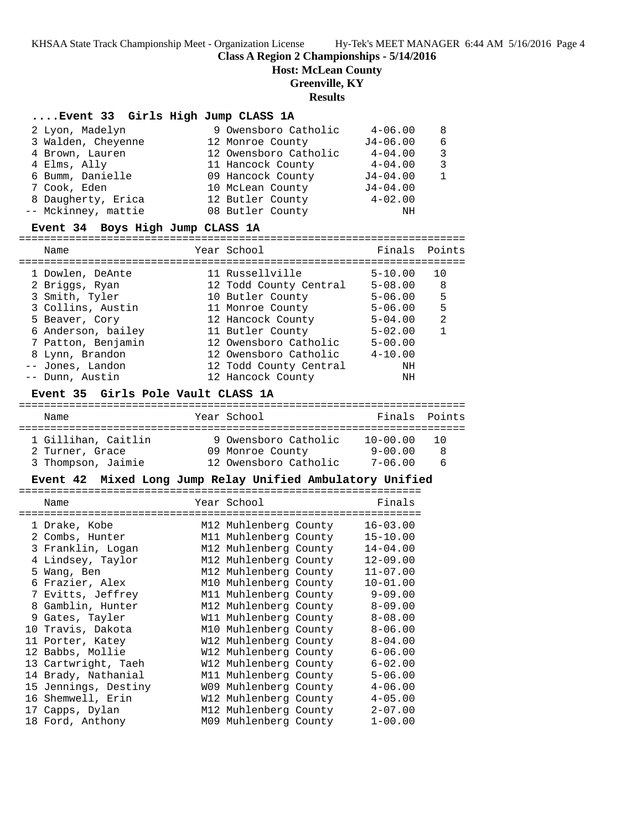**Class A Region 2 Championships - 5/14/2016**

**Host: McLean County**

### **Greenville, KY**

### **Results**

#### **....Event 33 Girls High Jump CLASS 1A**

| 2 Lyon, Madelyn     | 9 Owensboro Catholic  | $4 - 06.00$  | 8 |
|---------------------|-----------------------|--------------|---|
| 3 Walden, Cheyenne  | 12 Monroe County      | $J4 - 06.00$ | 6 |
| 4 Brown, Lauren     | 12 Owensboro Catholic | $4 - 04.00$  | 3 |
| 4 Elms, Ally        | 11 Hancock County     | $4 - 04.00$  | 3 |
| 6 Bumm, Danielle    | 09 Hancock County     | $J4 - 04.00$ |   |
| 7 Cook, Eden        | 10 McLean County      | $J4 - 04.00$ |   |
| 8 Daugherty, Erica  | 12 Butler County      | $4 - 02.00$  |   |
| -- Mckinney, mattie | 08 Butler County      | ΝH           |   |

#### **Event 34 Boys High Jump CLASS 1A**

======================================================================= Name The Year School The Finals Points ======================================================================= 1 Dowlen, DeAnte 11 Russellville 5-10.00 10 2 Briggs, Ryan 12 Todd County Central 5-08.00 8 3 Smith, Tyler 10 Butler County 5-06.00 5 3 Collins, Austin 11 Monroe County 5-06.00 5 5 Beaver, Cory 12 Hancock County 5-04.00 2 6 Anderson, bailey 11 Butler County 5-02.00 1 7 Patton, Benjamin 12 Owensboro Catholic 5-00.00 8 Lynn, Brandon 12 Owensboro Catholic 4-10.00 -- Jones, Landon 12 Todd County Central NH -- Dunn, Austin 12 Hancock County NH

#### **Event 35 Girls Pole Vault CLASS 1A**

# =======================================================================

| Name                                   | Year School                              | Finals Points           |         |
|----------------------------------------|------------------------------------------|-------------------------|---------|
| 1 Gillihan. Caitlin<br>2 Turner, Grace | 9 Owensboro Catholic<br>09 Monroe County | $10 - 00.00$<br>9-00.00 | 10<br>8 |
| 3 Thompson, Jaimie                     | 12 Owensboro Catholic                    | $7 - 06.00$             | ĥ       |

#### **Event 42 Mixed Long Jump Relay Unified Ambulatory Unified**

|  | Name                 |  | Year School           |  | Finals       |  |  |  |
|--|----------------------|--|-----------------------|--|--------------|--|--|--|
|  |                      |  |                       |  |              |  |  |  |
|  | 1 Drake, Kobe        |  | M12 Muhlenberg County |  | $16 - 03.00$ |  |  |  |
|  | 2 Combs, Hunter      |  | M11 Muhlenberg County |  | $15 - 10.00$ |  |  |  |
|  | 3 Franklin, Logan    |  | M12 Muhlenberg County |  | $14 - 04.00$ |  |  |  |
|  | 4 Lindsey, Taylor    |  | M12 Muhlenberg County |  | $12 - 09.00$ |  |  |  |
|  | 5 Wang, Ben          |  | M12 Muhlenberg County |  | $11 - 07.00$ |  |  |  |
|  | 6 Frazier, Alex      |  | M10 Muhlenberg County |  | $10 - 01.00$ |  |  |  |
|  | 7 Evitts, Jeffrey    |  | M11 Muhlenberg County |  | $9 - 09.00$  |  |  |  |
|  | 8 Gamblin, Hunter    |  | M12 Muhlenberg County |  | $8 - 09.00$  |  |  |  |
|  | 9 Gates, Tayler      |  | W11 Muhlenberg County |  | $8 - 08.00$  |  |  |  |
|  | 10 Travis, Dakota    |  | M10 Muhlenberg County |  | $8 - 06.00$  |  |  |  |
|  | 11 Porter, Katey     |  | W12 Muhlenberg County |  | $8 - 04.00$  |  |  |  |
|  | 12 Babbs, Mollie     |  | W12 Muhlenberg County |  | $6 - 06.00$  |  |  |  |
|  | 13 Cartwright, Taeh  |  | W12 Muhlenberg County |  | $6 - 02.00$  |  |  |  |
|  | 14 Brady, Nathanial  |  | M11 Muhlenberg County |  | $5 - 06.00$  |  |  |  |
|  | 15 Jennings, Destiny |  | W09 Muhlenberg County |  | $4 - 06.00$  |  |  |  |
|  | 16 Shemwell, Erin    |  | W12 Muhlenberg County |  | $4 - 05.00$  |  |  |  |
|  | 17 Capps, Dylan      |  | M12 Muhlenberg County |  | $2 - 07.00$  |  |  |  |
|  | 18 Ford, Anthony     |  | M09 Muhlenberg County |  | $1 - 00.00$  |  |  |  |